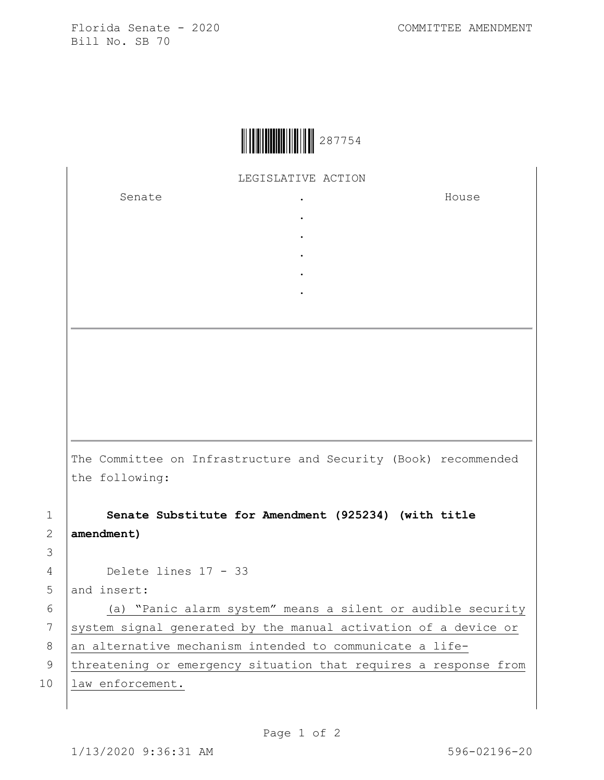Florida Senate - 2020 COMMITTEE AMENDMENT Bill No. SB 70

|  | 287754 |
|--|--------|
|--|--------|

LEGISLATIVE ACTION

. . . . .

Senate .

House

The Committee on Infrastructure and Security (Book) recommended the following:

1 **Senate Substitute for Amendment (925234) (with title**  2 **amendment)**

4 Delete lines 17 - 33

5 and insert:

3

6 (a) "Panic alarm system" means a silent or audible security 7 system signal generated by the manual activation of a device or  $8$  an alternative mechanism intended to communicate a life-

9 | threatening or emergency situation that requires a response from 10 | law enforcement.